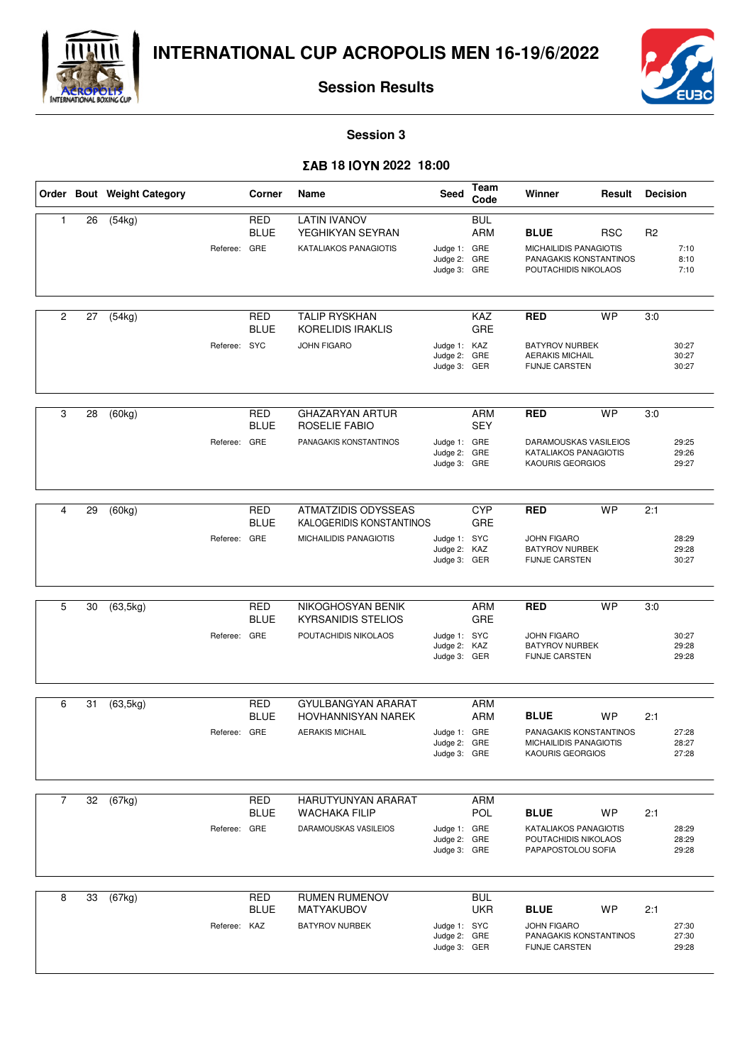



**Session Results**

**Session 3**

## - **18 2022 18:00**

|                |    | Order Bout Weight Category |              | Corner                    | Name                                                                      | Seed                                         | Team<br>Code                    | Winner                                                                                  | Result     | <b>Decision</b> |                         |
|----------------|----|----------------------------|--------------|---------------------------|---------------------------------------------------------------------------|----------------------------------------------|---------------------------------|-----------------------------------------------------------------------------------------|------------|-----------------|-------------------------|
| $\mathbf{1}$   | 26 | (54kg)                     | Referee: GRE | <b>RED</b><br><b>BLUE</b> | <b>LATIN IVANOV</b><br>YEGHIKYAN SEYRAN<br><b>KATALIAKOS PANAGIOTIS</b>   | Judge 1: GRE<br>Judge 2:<br>Judge 3: GRE     | <b>BUL</b><br><b>ARM</b><br>GRE | <b>BLUE</b><br>MICHAILIDIS PANAGIOTIS<br>PANAGAKIS KONSTANTINOS<br>POUTACHIDIS NIKOLAOS | <b>RSC</b> | R <sub>2</sub>  | 7:10<br>8:10<br>7:10    |
| $\overline{c}$ | 27 | (54kg)                     | Referee: SYC | <b>RED</b><br><b>BLUE</b> | <b>TALIP RYSKHAN</b><br>KORELIDIS IRAKLIS<br><b>JOHN FIGARO</b>           | Judge 1: KAZ<br>Judge 2:<br>Judge 3: GER     | <b>KAZ</b><br>GRE<br>GRE        | <b>RED</b><br><b>BATYROV NURBEK</b><br><b>AERAKIS MICHAIL</b><br><b>FIJNJE CARSTEN</b>  | <b>WP</b>  | 3:0             | 30:27<br>30:27<br>30:27 |
| 3              | 28 | (60kg)                     | Referee:     | RED<br><b>BLUE</b><br>GRE | <b>GHAZARYAN ARTUR</b><br>ROSELIE FABIO<br>PANAGAKIS KONSTANTINOS         | Judge 1: GRE<br>Judge 2:<br>Judge 3: GRE     | ARM<br><b>SEY</b><br>GRE        | <b>RED</b><br>DARAMOUSKAS VASILEIOS<br>KATALIAKOS PANAGIOTIS<br>KAOURIS GEORGIOS        | <b>WP</b>  | 3:0             | 29:25<br>29:26<br>29:27 |
| 4              | 29 | (60kg)                     | Referee: GRE | <b>RED</b><br><b>BLUE</b> | ATMATZIDIS ODYSSEAS<br>KALOGERIDIS KONSTANTINOS<br>MICHAILIDIS PANAGIOTIS | Judge 1: SYC<br>Judge 2:<br>Judge 3: GER     | <b>CYP</b><br>GRE<br>KAZ        | <b>RED</b><br><b>JOHN FIGARO</b><br><b>BATYROV NURBEK</b><br><b>FIJNJE CARSTEN</b>      | <b>WP</b>  | 2:1             | 28:29<br>29:28<br>30:27 |
| 5              | 30 | (63, 5kg)                  | Referee: GRE | <b>RED</b><br><b>BLUE</b> | NIKOGHOSYAN BENIK<br><b>KYRSANIDIS STELIOS</b><br>POUTACHIDIS NIKOLAOS    | Judge 1: SYC<br>Judge 2: KAZ<br>Judge 3: GER | ARM<br>GRE                      | <b>RED</b><br><b>JOHN FIGARO</b><br><b>BATYROV NURBEK</b><br><b>FIJNJE CARSTEN</b>      | <b>WP</b>  | 3:0             | 30:27<br>29:28<br>29:28 |
| 6              | 31 | (63, 5kg)                  | Referee: GRE | RED<br><b>BLUE</b>        | GYULBANGYAN ARARAT<br><b>HOVHANNISYAN NAREK</b><br><b>AERAKIS MICHAIL</b> | Judge 1: GRE<br>Judge 2:<br>Judge 3: GRE     | ARM<br>ARM<br>GRE               | <b>BLUE</b><br>PANAGAKIS KONSTANTINOS<br>MICHAILIDIS PANAGIOTIS<br>KAOURIS GEORGIOS     | <b>WP</b>  | 2:1             | 27:28<br>28:27<br>27:28 |
| $\overline{7}$ | 32 | (67kg)                     | Referee: GRE | <b>RED</b><br><b>BLUE</b> | HARUTYUNYAN ARARAT<br><b>WACHAKA FILIP</b><br>DARAMOUSKAS VASILEIOS       | Judge 1: GRE<br>Judge 2: GRE<br>Judge 3: GRE | ARM<br>POL                      | <b>BLUE</b><br>KATALIAKOS PANAGIOTIS<br>POUTACHIDIS NIKOLAOS<br>PAPAPOSTOLOU SOFIA      | <b>WP</b>  | 2:1             | 28:29<br>28:29<br>29:28 |
| 8              | 33 | (67kg)                     | Referee: KAZ | <b>RED</b><br><b>BLUE</b> | <b>RUMEN RUMENOV</b><br>MATYAKUBOV<br><b>BATYROV NURBEK</b>               | Judge 1: SYC<br>Judge 2: GRE<br>Judge 3: GER | <b>BUL</b><br><b>UKR</b>        | <b>BLUE</b><br><b>JOHN FIGARO</b><br>PANAGAKIS KONSTANTINOS<br><b>FIJNJE CARSTEN</b>    | WP         | 2:1             | 27:30<br>27:30<br>29:28 |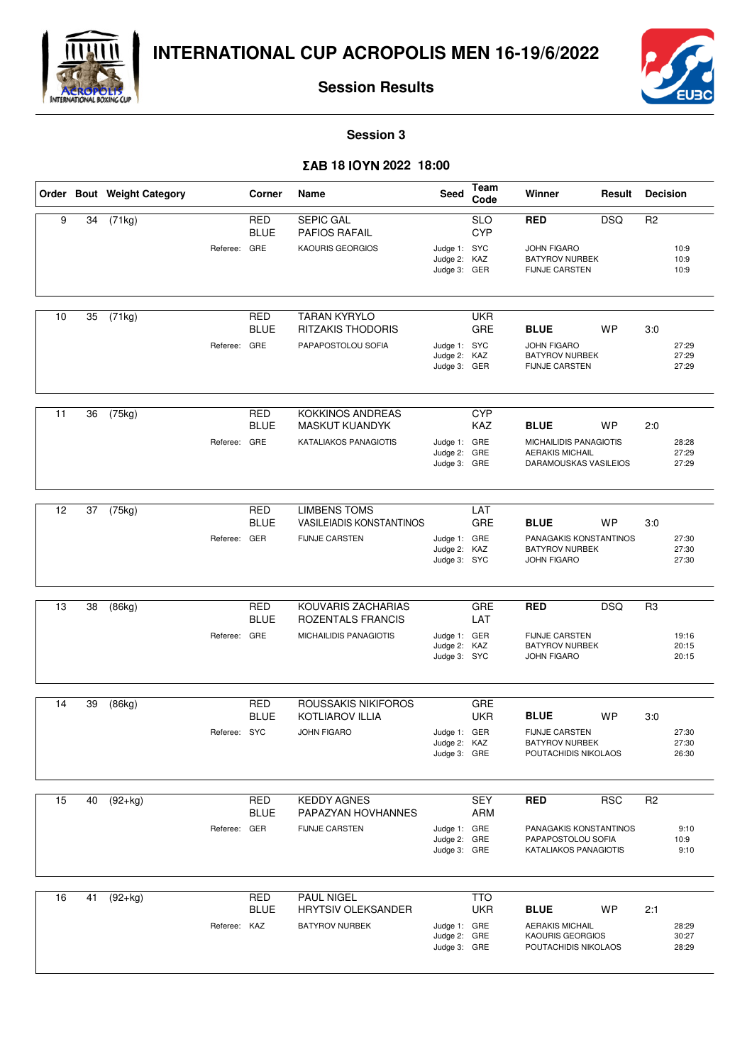



**Session Results**

**Session 3**

## - **18 2022 18:00**

|    |    | Order Bout Weight Category |              | Corner                    | Name                                                     | Seed                                         | Team<br>Code             | Winner                                                                                   | Result     | <b>Decision</b> |                         |
|----|----|----------------------------|--------------|---------------------------|----------------------------------------------------------|----------------------------------------------|--------------------------|------------------------------------------------------------------------------------------|------------|-----------------|-------------------------|
| 9  | 34 | (71kg)                     | Referee: GRE | <b>RED</b><br><b>BLUE</b> | <b>SEPIC GAL</b><br>PAFIOS RAFAIL<br>KAOURIS GEORGIOS    | Judge 1: SYC<br>Judge 2: KAZ                 | <b>SLO</b><br><b>CYP</b> | <b>RED</b><br><b>JOHN FIGARO</b><br><b>BATYROV NURBEK</b>                                | <b>DSQ</b> | R <sub>2</sub>  | 10:9<br>10:9            |
|    |    |                            |              |                           |                                                          | Judge 3: GER                                 |                          | <b>FIJNJE CARSTEN</b>                                                                    |            |                 | 10:9                    |
| 10 | 35 | (71kg)                     |              | <b>RED</b><br><b>BLUE</b> | <b>TARAN KYRYLO</b><br><b>RITZAKIS THODORIS</b>          |                                              | <b>UKR</b><br>GRE        | <b>BLUE</b>                                                                              | <b>WP</b>  | 3:0             |                         |
|    |    |                            | Referee: GRE |                           | PAPAPOSTOLOU SOFIA                                       | Judge 1: SYC<br>Judge 2:<br>Judge 3: GER     | KAZ                      | <b>JOHN FIGARO</b><br><b>BATYROV NURBEK</b><br><b>FIJNJE CARSTEN</b>                     |            |                 | 27:29<br>27:29<br>27:29 |
| 11 | 36 | (75kg)                     |              | RED<br><b>BLUE</b>        | <b>KOKKINOS ANDREAS</b><br><b>MASKUT KUANDYK</b>         |                                              | <b>CYP</b><br>KAZ        | <b>BLUE</b>                                                                              | <b>WP</b>  | 2:0             |                         |
|    |    |                            | Referee: GRE |                           | KATALIAKOS PANAGIOTIS                                    | Judge 1: GRE<br>Judge 2:<br>Judge 3: GRE     | GRE                      | MICHAILIDIS PANAGIOTIS<br><b>AERAKIS MICHAIL</b><br>DARAMOUSKAS VASILEIOS                |            |                 | 28:28<br>27:29<br>27:29 |
| 12 | 37 | (75kg)                     |              | <b>RED</b>                | <b>LIMBENS TOMS</b>                                      |                                              | LAT                      |                                                                                          |            |                 |                         |
|    |    |                            | Referee: GER | <b>BLUE</b>               | <b>VASILEIADIS KONSTANTINOS</b><br><b>FIJNJE CARSTEN</b> | Judge 1: GRE<br>Judge 2: KAZ<br>Judge 3: SYC | GRE                      | <b>BLUE</b><br>PANAGAKIS KONSTANTINOS<br><b>BATYROV NURBEK</b><br><b>JOHN FIGARO</b>     | <b>WP</b>  | 3:0             | 27:30<br>27:30<br>27:30 |
| 13 | 38 | (86kg)                     |              | <b>RED</b>                | KOUVARIS ZACHARIAS                                       |                                              | GRE                      | <b>RED</b>                                                                               | <b>DSQ</b> | R <sub>3</sub>  |                         |
|    |    |                            | Referee: GRE | <b>BLUE</b>               | ROZENTALS FRANCIS<br>MICHAILIDIS PANAGIOTIS              | Judge 1: GER                                 | LAT                      | <b>FIJNJE CARSTEN</b>                                                                    |            |                 | 19:16                   |
|    |    |                            |              |                           |                                                          | Judge 2: KAZ<br>Judge 3: SYC                 |                          | <b>BATYROV NURBEK</b><br><b>JOHN FIGARO</b>                                              |            |                 | 20:15<br>20:15          |
| 14 | 39 | (86kg)                     |              | RED                       | ROUSSAKIS NIKIFOROS                                      |                                              | GRE                      |                                                                                          |            |                 |                         |
|    |    |                            | Referee: SYC | <b>BLUE</b>               | <b>KOTLIAROV ILLIA</b><br><b>JOHN FIGARO</b>             | Judge 1: GER<br>Judge 2:                     | <b>UKR</b><br>KAZ        | <b>BLUE</b><br><b>FIJNJE CARSTEN</b><br><b>BATYROV NURBEK</b>                            | <b>WP</b>  | 3:0             | 27:30<br>27:30          |
|    |    |                            |              |                           |                                                          | Judge 3: GRE                                 |                          | POUTACHIDIS NIKOLAOS                                                                     |            |                 | 26:30                   |
| 15 | 40 | $(92+kg)$                  |              | RED                       | <b>KEDDY AGNES</b>                                       |                                              | SEY                      | <b>RED</b>                                                                               | <b>RSC</b> | R <sub>2</sub>  |                         |
|    |    |                            | Referee: GER | <b>BLUE</b>               | PAPAZYAN HOVHANNES<br><b>FIJNJE CARSTEN</b>              | Judge 1: GRE<br>Judge 2: GRE<br>Judge 3: GRE | <b>ARM</b>               | PANAGAKIS KONSTANTINOS<br>PAPAPOSTOLOU SOFIA<br>KATALIAKOS PANAGIOTIS                    |            |                 | 9:10<br>10:9<br>9:10    |
| 16 | 41 | $(92+kg)$                  |              | <b>RED</b>                | <b>PAUL NIGEL</b>                                        |                                              | <b>TTO</b>               |                                                                                          |            |                 |                         |
|    |    |                            | Referee: KAZ | <b>BLUE</b>               | HRYTSIV OLEKSANDER<br><b>BATYROV NURBEK</b>              | Judge 1: GRE<br>Judge 2: GRE<br>Judge 3: GRE | <b>UKR</b>               | <b>BLUE</b><br><b>AERAKIS MICHAIL</b><br><b>KAOURIS GEORGIOS</b><br>POUTACHIDIS NIKOLAOS | <b>WP</b>  | 2:1             | 28:29<br>30:27<br>28:29 |